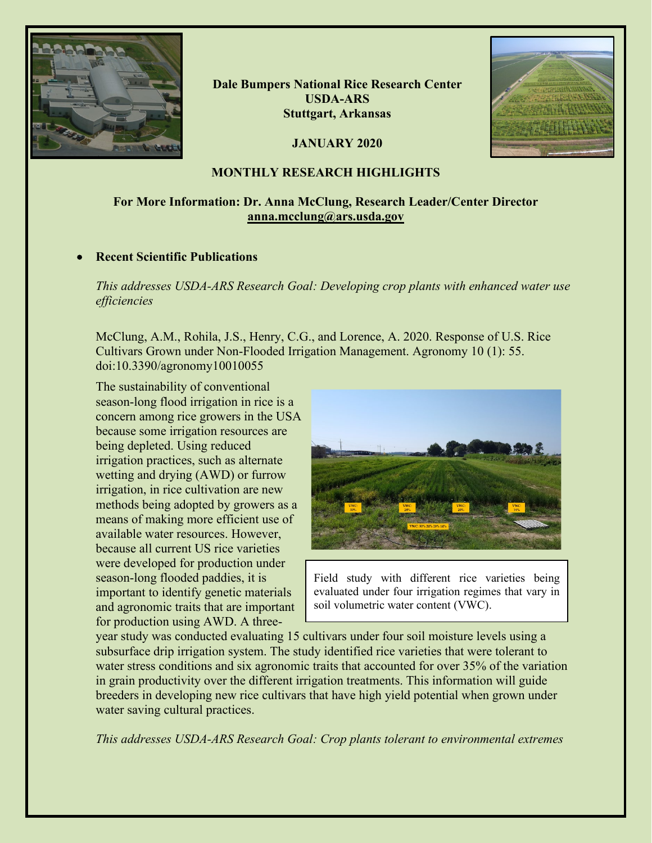

**Dale Bumpers National Rice Research Center USDA-ARS Stuttgart, Arkansas**

**JANUARY 2020**



# **MONTHLY RESEARCH HIGHLIGHTS**

# **For More Information: Dr. Anna McClung, Research Leader/Center Director [anna.mcclung@ars.usda.gov](mailto:anna.mcclung@ars.usda.gov)**

## • **Recent Scientific Publications**

*This addresses USDA-ARS Research Goal: Developing crop plants with enhanced water use efficiencies*

McClung, A.M., Rohila, J.S., Henry, C.G., and Lorence, A. 2020. Response of U.S. Rice Cultivars Grown under Non-Flooded Irrigation Management. Agronomy 10 (1): 55. doi:10.3390/agronomy10010055

The sustainability of conventional season-long flood irrigation in rice is a concern among rice growers in the USA because some irrigation resources are being depleted. Using reduced irrigation practices, such as alternate wetting and drying (AWD) or furrow irrigation, in rice cultivation are new methods being adopted by growers as a means of making more efficient use of available water resources. However, because all current US rice varieties were developed for production under season-long flooded paddies, it is important to identify genetic materials and agronomic traits that are important for production using AWD. A three-



Field study with different rice varieties being evaluated under four irrigation regimes that vary in soil volumetric water content (VWC).

year study was conducted evaluating 15 cultivars under four soil moisture levels using a subsurface drip irrigation system. The study identified rice varieties that were tolerant to water stress conditions and six agronomic traits that accounted for over 35% of the variation in grain productivity over the different irrigation treatments. This information will guide breeders in developing new rice cultivars that have high yield potential when grown under water saving cultural practices.

*This addresses USDA-ARS Research Goal: Crop plants tolerant to environmental extremes*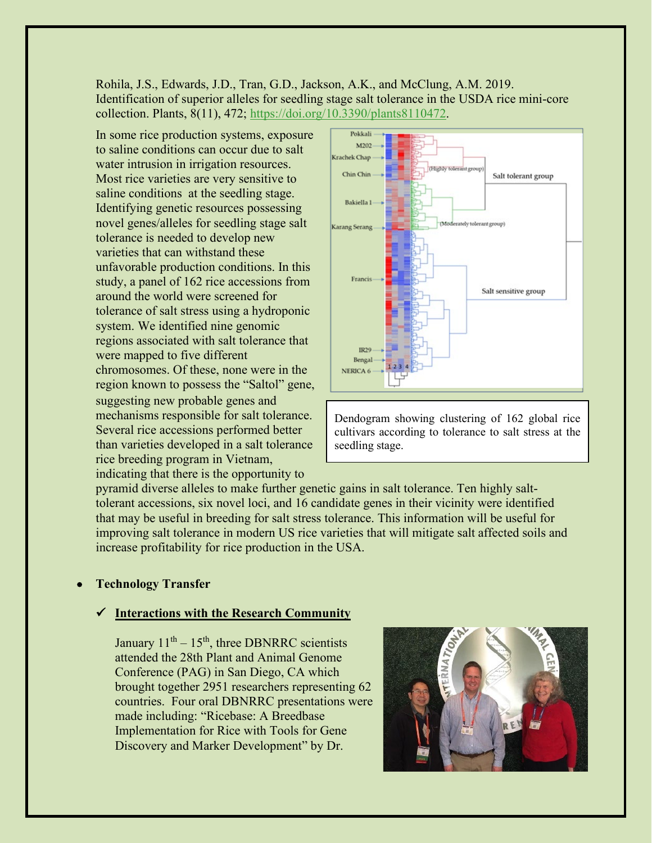Rohila, J.S., Edwards, J.D., Tran, G.D., Jackson, A.K., and McClung, A.M. 2019. Identification of superior alleles for seedling stage salt tolerance in the USDA rice mini-core collection. Plants, 8(11), 472; [https://doi.org/10.3390/plants8110472.](https://doi.org/10.3390/plants8110472)

In some rice production systems, exposure to saline conditions can occur due to salt water intrusion in irrigation resources. Most rice varieties are very sensitive to saline conditions at the seedling stage. Identifying genetic resources possessing novel genes/alleles for seedling stage salt tolerance is needed to develop new varieties that can withstand these unfavorable production conditions. In this study, a panel of 162 rice accessions from around the world were screened for tolerance of salt stress using a hydroponic system. We identified nine genomic regions associated with salt tolerance that were mapped to five different chromosomes. Of these, none were in the region known to possess the "Saltol" gene, suggesting new probable genes and mechanisms responsible for salt tolerance. Several rice accessions performed better than varieties developed in a salt tolerance rice breeding program in Vietnam, indicating that there is the opportunity to



Dendogram showing clustering of 162 global rice cultivars according to tolerance to salt stress at the seedling stage.

pyramid diverse alleles to make further genetic gains in salt tolerance. Ten highly salttolerant accessions, six novel loci, and 16 candidate genes in their vicinity were identified that may be useful in breeding for salt stress tolerance. This information will be useful for improving salt tolerance in modern US rice varieties that will mitigate salt affected soils and increase profitability for rice production in the USA.

## • **Technology Transfer**

#### **Interactions with the Research Community**

January  $11<sup>th</sup> - 15<sup>th</sup>$ , three DBNRRC scientists attended the 28th Plant and Animal Genome Conference (PAG) in San Diego, CA which brought together 2951 researchers representing 62 countries. Four oral DBNRRC presentations were made including: "Ricebase: A Breedbase Implementation for Rice with Tools for Gene Discovery and Marker Development" by Dr.

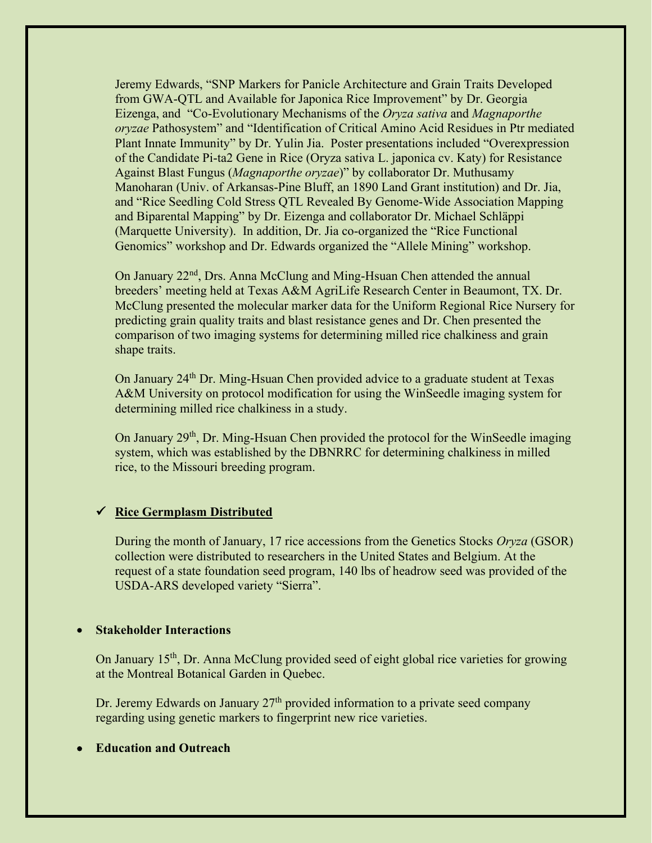Jeremy Edwards, "SNP Markers for Panicle Architecture and Grain Traits Developed from GWA-QTL and Available for Japonica Rice Improvement" by Dr. Georgia Eizenga, and "Co-Evolutionary Mechanisms of the *Oryza sativa* and *Magnaporthe oryzae* Pathosystem" and "Identification of Critical Amino Acid Residues in Ptr mediated Plant Innate Immunity" by Dr. Yulin Jia. Poster presentations included "Overexpression of the Candidate Pi-ta2 Gene in Rice (Oryza sativa L. japonica cv. Katy) for Resistance Against Blast Fungus (*Magnaporthe oryzae*)" by collaborator Dr. Muthusamy Manoharan (Univ. of Arkansas-Pine Bluff, an 1890 Land Grant institution) and Dr. Jia, and "Rice Seedling Cold Stress QTL Revealed By Genome-Wide Association Mapping and Biparental Mapping" by Dr. Eizenga and collaborator Dr. Michael Schläppi (Marquette University). In addition, Dr. Jia co-organized the "Rice Functional Genomics" workshop and Dr. Edwards organized the "Allele Mining" workshop.

On January 22<sup>nd</sup>, Drs. Anna McClung and Ming-Hsuan Chen attended the annual breeders' meeting held at Texas A&M AgriLife Research Center in Beaumont, TX. Dr. McClung presented the molecular marker data for the Uniform Regional Rice Nursery for predicting grain quality traits and blast resistance genes and Dr. Chen presented the comparison of two imaging systems for determining milled rice chalkiness and grain shape traits.

On January 24<sup>th</sup> Dr. Ming-Hsuan Chen provided advice to a graduate student at Texas A&M University on protocol modification for using the WinSeedle imaging system for determining milled rice chalkiness in a study.

On January 29<sup>th</sup>, Dr. Ming-Hsuan Chen provided the protocol for the WinSeedle imaging system, which was established by the DBNRRC for determining chalkiness in milled rice, to the Missouri breeding program.

### **Rice Germplasm Distributed**

During the month of January, 17 rice accessions from the Genetics Stocks *Oryza* (GSOR) collection were distributed to researchers in the United States and Belgium. At the request of a state foundation seed program, 140 lbs of headrow seed was provided of the USDA-ARS developed variety "Sierra".

#### • **Stakeholder Interactions**

On January 15<sup>th</sup>, Dr. Anna McClung provided seed of eight global rice varieties for growing at the Montreal Botanical Garden in Quebec.

Dr. Jeremy Edwards on January  $27<sup>th</sup>$  provided information to a private seed company regarding using genetic markers to fingerprint new rice varieties.

#### • **Education and Outreach**